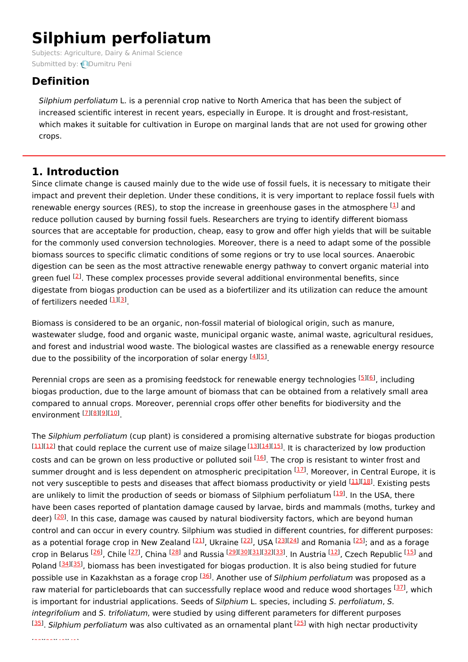# **Silphium perfoliatum**

Subjects: [Agriculture,](https://encyclopedia.pub/item/subject/3) Dairy & Animal Science Submitted by: **D**umitru Peni

# **Definition**

Silphium perfoliatum L. is a perennial crop native to North America that has been the subject of increased scientific interest in recent years, especially in Europe. It is drought and frost-resistant, which makes it suitable for cultivation in Europe on marginal lands that are not used for growing other crops.

## **1. Introduction**

Since climate change is caused mainly due to the wide use of fossil fuels, it is necessary to mitigate their impact and prevent their depletion. Under these conditions, it is very important to replace fossil fuels with renewable energy sources (RES), to stop the increase in greenhouse gases in the atmosphere  $^{[1]}$  $^{[1]}$  $^{[1]}$  and reduce pollution caused by burning fossil fuels. Researchers are trying to identify different biomass sources that are acceptable for production, cheap, easy to grow and offer high yields that will be suitable for the commonly used conversion technologies. Moreover, there is a need to adapt some of the possible biomass sources to specific climatic conditions of some regions or try to use local sources. Anaerobic digestion can be seen as the most attractive renewable energy pathway to convert organic material into green fuel <sup>[\[2](#page-2-1)]</sup>. These complex processes provide several additional environmental benefits, since digestate from biogas production can be used as a biofertilizer and its utilization can reduce the amount of fertilizers needed <sup>[<u>1][\[3](#page-2-2)</u>]</sup>.

Biomass is considered to be an organic, non-fossil material of biological origin, such as manure, wastewater sludge, food and organic waste, municipal organic waste, animal waste, agricultural residues, and forest and industrial wood waste. The biological wastes are classified as a renewable energy resource due to the possibility of the incorporation of solar energy [\[4](#page-2-3)][[5](#page-2-4)].

Perennial crops are seen as a promising feedstock for renewable energy technologies [\[5](#page-2-4)][[6](#page-2-5)], including biogas production, due to the large amount of biomass that can be obtained from a relatively small area compared to annual crops. Moreover, perennial crops offer other benefits for biodiversity and the environment <sup>[<u>7][\[8](#page-2-7)][\[9](#page-2-8)][[10](#page-2-9)]</u></sup>

The Silphium perfoliatum (cup plant) is considered a promising alternative substrate for biogas production  $\frac{[11][12]}{[11][12]}$  $\frac{[11][12]}{[11][12]}$  $\frac{[11][12]}{[11][12]}$  $\frac{[11][12]}{[11][12]}$  $\frac{[11][12]}{[11][12]}$  that could replace the current use of maize silage  $\frac{[13][14][15]}{[13]}$  $\frac{[13][14][15]}{[13]}$  $\frac{[13][14][15]}{[13]}$  $\frac{[13][14][15]}{[13]}$  $\frac{[13][14][15]}{[13]}$  $\frac{[13][14][15]}{[13]}$  $\frac{[13][14][15]}{[13]}$ . It is characterized by low production costs and can be grown on less productive or polluted soil <sup>[[16](#page-3-5)]</sup>. The crop is resistant to winter frost and summer drought and is less dependent on atmospheric precipitation <sup>[\[17](#page-3-6)]</sup>. Moreover, in Central Europe, it is not very susceptible to pests and diseases that affect biomass productivity or yield <sup>[\[11](#page-3-0)][\[18](#page-3-7)]</sup>. Existing pests are unlikely to limit the production of seeds or biomass of Silphium perfoliatum <sup>[[19](#page-3-8)]</sup>. In the USA, there have been cases reported of plantation damage caused by larvae, birds and mammals (moths, turkey and deer) <sup>[\[20](#page-3-9)]</sup>. In this case, damage was caused by natural biodiversity factors, which are beyond human control and can occur in every country. Silphium was studied in different countries, for different purposes: as a potential forage crop in New Zealand <sup>[[21](#page-3-10)]</sup>, Ukraine <sup>[\[22](#page-3-11)]</sup>, USA <sup>[\[23](#page-3-12)][[24](#page-3-13)]</sup> and Romania <sup>[\[25](#page-3-14)]</sup>; and as a forage crop in Belarus <sup>[\[26\]](#page-3-15)</sup>, Chile <sup>[\[27\]](#page-3-16)</sup>, China <sup>[[28](#page-3-17)]</sup> and Russia <sup>[\[29](#page-3-18)][\[30](#page-3-19)][\[31](#page-3-20)][\[32](#page-3-21)][\[33](#page-3-22)]. In Austria <sup>[\[12](#page-3-1)]</sup>, Czech Republic <sup>[[15](#page-3-4)]</sup> and</sup> Poland <sup>[\[34](#page-3-23)][\[35](#page-3-24)]</sup>, biomass has been investigated for biogas production. It is also being studied for future possible use in Kazakhstan as a forage crop <sup>[\[36](#page-3-25)]</sup>. Another use of Silphium perfoliatum was proposed as a raw material for particleboards that can successfully replace wood and reduce wood shortages <a>[\[37](#page-3-26)]</a>, which is important for industrial applications. Seeds of Silphium L. species, including S. perfoliatum, S. integrifolium and S. trifoliatum, were studied by using different parameters for different purposes <sup>[[35](#page-3-24)]</sup>. Silphium perfoliatum was also cultivated as an ornamental plant <sup>[\[25](#page-3-14)]</sup> with high nectar productivity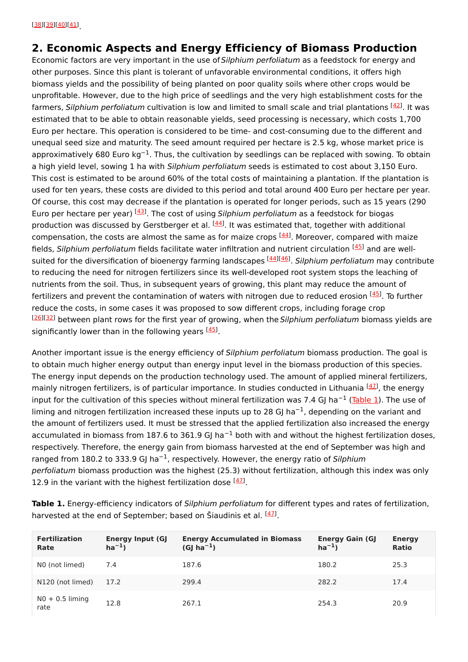### **2. Economic Aspects and Energy Efficiency of Biomass Production**

Economic factors are very important in the use of Silphium perfoliatum as a feedstock for energy and other purposes. Since this plant is tolerant of unfavorable environmental conditions, it offers high biomass yields and the possibility of being planted on poor quality soils where other crops would be unprofitable. However, due to the high price of seedlings and the very high establishment costs for the farmers, Silphium perfoliatum cultivation is low and limited to small scale and trial plantations <sup>[[42](#page-4-4)]</sup>. It was estimated that to be able to obtain reasonable yields, seed processing is necessary, which costs 1,700 Euro per hectare. This operation is considered to be time- and cost-consuming due to the different and unequal seed size and maturity. The seed amount required per hectare is 2.5 kg, whose market price is approximatively 680 Euro kg<sup>-1</sup>. Thus, the cultivation by seedlings can be replaced with sowing. To obtain a high yield level, sowing 1 ha with Silphium perfoliatum seeds is estimated to cost about 3,150 Euro. This cost is estimated to be around 60% of the total costs of maintaining a plantation. If the plantation is used for ten years, these costs are divided to this period and total around 400 Euro per hectare per year. Of course, this cost may decrease if the plantation is operated for longer periods, such as 15 years (290 Euro per hectare per year) <sup>[\[43](#page-4-5)]</sup>. The cost of using Silphium perfoliatum as a feedstock for biogas production was discussed by Gerstberger et al. <sup>[\[44](#page-4-6)]</sup>. It was estimated that, together with additional compensation, the costs are almost the same as for maize crops <sup>[[44\]](#page-4-6)</sup>. Moreover, compared with maize fields, Silphium perfoliatum fields facilitate water infiltration and nutrient circulation <sup>[[45](#page-4-7)]</sup> and are well-suited for the diversification of bioenergy farming landscapes <sup>[\[44](#page-4-6)][\[46](#page-4-8)]</sup>. Silphium perfoliatum may contribute to reducing the need for nitrogen fertilizers since its well-developed root system stops the leaching of nutrients from the soil. Thus, in subsequent years of growing, this plant may reduce the amount of fertilizers and prevent the contamination of waters with nitrogen due to reduced erosion [\[45](#page-4-7)]. To further reduce the costs, in some cases it was proposed to sow different crops, including forage crop [[26](#page-3-15)][\[32\]](#page-3-21) between plant rows for the first year of growing, when the Silphium perfoliatum biomass yields are significantly lower than in the following years [[45\]](#page-4-7).

Another important issue is the energy efficiency of Silphium perfoliatum biomass production. The goal is to obtain much higher energy output than energy input level in the biomass production of this species. The energy input depends on the production technology used. The amount of applied mineral fertilizers, mainly nitrogen fertilizers, is of particular importance. In studies conducted in Lithuania <sup>[[47](#page-4-9)]</sup>, the energy input for the cultivation of this species without mineral fertilization was 7.4 GJ ha<sup>-1</sup> [\(Table](https://www.mdpi.com/2077-0472/10/12/640/htm#table_body_display_agriculture-10-00640-t003) 1). The use of liming and nitrogen fertilization increased these inputs up to 28 GJ ha<sup>-1</sup>, depending on the variant and the amount of fertilizers used. It must be stressed that the applied fertilization also increased the energy accumulated in biomass from 187.6 to 361.9 GJ ha<sup>-1</sup> both with and without the highest fertilization doses, respectively. Therefore, the energy gain from biomass harvested at the end of September was high and ranged from 180.2 to 333.9 GJ ha<sup>-1</sup>, respectively. However, the energy ratio of Silphium perfoliatum biomass production was the highest (25.3) without fertilization, although this index was only 12.9 in the variant with the highest fertilization dose  $^{[47]}$  $^{[47]}$  $^{[47]}$ .

**Table 1.** Energy-efficiency indicators of Silphium perfoliatum for different types and rates of fertilization, harvested at the end of September; based on Šiaudinis et al. <sup>[[47\]](#page-4-9)</sup>.

| <b>Fertilization</b><br>Rate | <b>Energy Input (GJ</b><br>$ha^{-1}$ | <b>Energy Accumulated in Biomass</b><br>$(GJ ha^{-1})$ | <b>Energy Gain (GJ</b><br>$ha^{-1}$ | <b>Energy</b><br><b>Ratio</b> |
|------------------------------|--------------------------------------|--------------------------------------------------------|-------------------------------------|-------------------------------|
| NO (not limed)               | 7.4                                  | 187.6                                                  | 180.2                               | 25.3                          |
| N120 (not limed)             | 17.2                                 | 299.4                                                  | 282.2                               | 17.4                          |
| $N0 + 0.5$ liming<br>rate    | 12.8                                 | 267.1                                                  | 254.3                               | 20.9                          |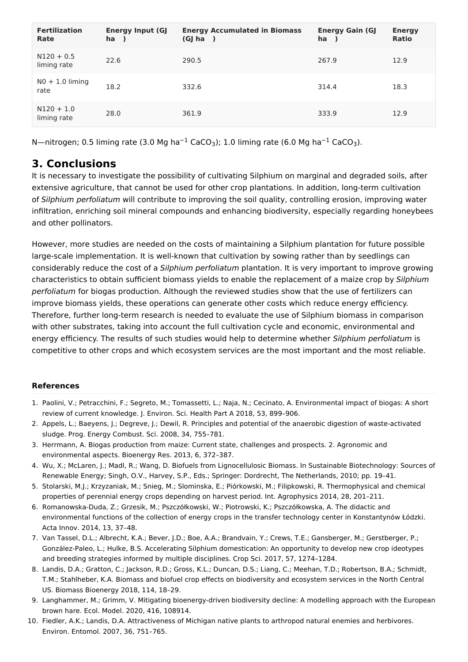| <b>Fertilization</b><br>Rate | <b>Energy Input (GJ</b><br>ha ) | <b>Energy Accumulated in Biomass</b><br>(GJ ha<br>$\overline{\phantom{a}}$ | <b>Energy Gain (GJ</b><br>ha | <b>Energy</b><br><b>Ratio</b> |
|------------------------------|---------------------------------|----------------------------------------------------------------------------|------------------------------|-------------------------------|
| $N120 + 0.5$<br>liming rate  | 22.6                            | 290.5                                                                      | 267.9                        | 12.9                          |
| $N0 + 1.0$ liming<br>rate    | 18.2                            | 332.6                                                                      | 314.4                        | 18.3                          |
| $N120 + 1.0$<br>liming rate  | 28.0                            | 361.9                                                                      | 333.9                        | 12.9                          |

N—nitrogen; 0.5 liming rate (3.0 Mg ha<sup>-1</sup> CaCO<sub>3</sub>); 1.0 liming rate (6.0 Mg ha<sup>-1</sup> CaCO<sub>3</sub>).

### **3. Conclusions**

It is necessary to investigate the possibility of cultivating Silphium on marginal and degraded soils, after extensive agriculture, that cannot be used for other crop plantations. In addition, long-term cultivation of Silphium perfoliatum will contribute to improving the soil quality, controlling erosion, improving water infiltration, enriching soil mineral compounds and enhancing biodiversity, especially regarding honeybees and other pollinators.

However, more studies are needed on the costs of maintaining a Silphium plantation for future possible large-scale implementation. It is well-known that cultivation by sowing rather than by seedlings can considerably reduce the cost of a Silphium perfoliatum plantation. It is very important to improve growing characteristics to obtain sufficient biomass yields to enable the replacement of a maize crop by Silphium perfoliatum for biogas production. Although the reviewed studies show that the use of fertilizers can improve biomass yields, these operations can generate other costs which reduce energy efficiency. Therefore, further long-term research is needed to evaluate the use of Silphium biomass in comparison with other substrates, taking into account the full cultivation cycle and economic, environmental and energy efficiency. The results of such studies would help to determine whether Silphium perfoliatum is competitive to other crops and which ecosystem services are the most important and the most reliable.

#### **References**

- <span id="page-2-0"></span>1. Paolini, V.; Petracchini, F.; Segreto, M.; Tomassetti, L.; Naja, N.; Cecinato, A. Environmental impact of biogas: A short review of current knowledge. J. Environ. Sci. Health Part A 2018, 53, 899–906.
- <span id="page-2-1"></span>2. Appels, L.; Baeyens, J.; Degreve, J.; Dewil, R. Principles and potential of the anaerobic digestion of waste-activated sludge. Prog. Energy Combust. Sci. 2008, 34, 755–781.
- <span id="page-2-2"></span>3. Herrmann, A. Biogas production from maize: Current state, challenges and prospects. 2. Agronomic and environmental aspects. Bioenergy Res. 2013, 6, 372–387.
- <span id="page-2-3"></span>4. Wu, X.; McLaren, J.; Madl, R.; Wang, D. Biofuels from Lignocellulosic Biomass. In Sustainable Biotechnology: Sources of Renewable Energy; Singh, O.V., Harvey, S.P., Eds.; Springer: Dordrecht, The Netherlands, 2010; pp. 19–41.
- <span id="page-2-4"></span>5. Stolarski, M.J.; Krzyzaniak, M.; Snieg, M.; Slominska, E.; Piórkowski, M.; Filipkowski, R. Thermophysical and chemical properties of perennial energy crops depending on harvest period. Int. Agrophysics 2014, 28, 201–211.
- <span id="page-2-5"></span>6. Romanowska-Duda, Z.; Grzesik, M.; Pszczółkowski, W.; Piotrowski, K.; Pszczółkowska, A. The didactic and environmental functions of the collection of energy crops in the transfer technology center in Konstantynów Łódzki. Acta Innov. 2014, 13, 37–48.
- <span id="page-2-6"></span>7. Van Tassel, D.L.; Albrecht, K.A.; Bever, J.D.; Boe, A.A.; Brandvain, Y.; Crews, T.E.; Gansberger, M.; Gerstberger, P.; González-Paleo, L.; Hulke, B.S. Accelerating Silphium domestication: An opportunity to develop new crop ideotypes and breeding strategies informed by multiple disciplines. Crop Sci. 2017, 57, 1274–1284.
- <span id="page-2-7"></span>8. Landis, D.A.; Gratton, C.; Jackson, R.D.; Gross, K.L.; Duncan, D.S.; Liang, C.; Meehan, T.D.; Robertson, B.A.; Schmidt, T.M.; Stahlheber, K.A. Biomass and biofuel crop effects on biodiversity and ecosystem services in the North Central US. Biomass Bioenergy 2018, 114, 18–29.
- <span id="page-2-8"></span>9. Langhammer, M.; Grimm, V. Mitigating bioenergy-driven biodiversity decline: A modelling approach with the European brown hare. Ecol. Model. 2020, 416, 108914.
- <span id="page-2-9"></span>10. Fiedler, A.K.; Landis, D.A. Attractiveness of Michigan native plants to arthropod natural enemies and herbivores. Environ. Entomol. 2007, 36, 751–765.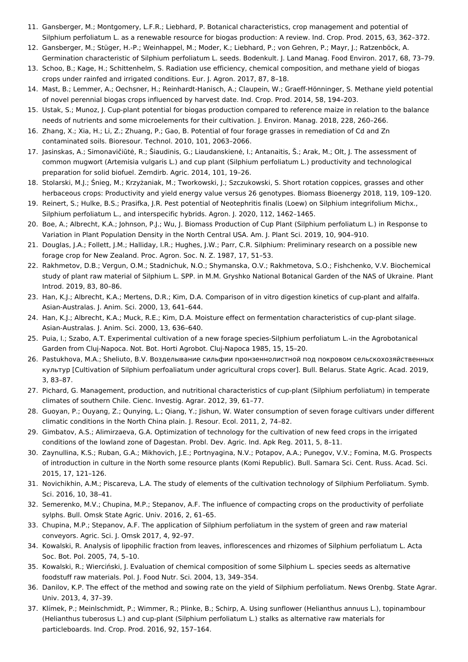- <span id="page-3-0"></span>11. Gansberger, M.; Montgomery, L.F.R.; Liebhard, P. Botanical characteristics, crop management and potential of Silphium perfoliatum L. as a renewable resource for biogas production: A review. Ind. Crop. Prod. 2015, 63, 362–372.
- <span id="page-3-1"></span>12. Gansberger, M.; Stüger, H.-P.; Weinhappel, M.; Moder, K.; Liebhard, P.; von Gehren, P.; Mayr, J.; Ratzenböck, A. Germination characteristic of Silphium perfoliatum L. seeds. Bodenkult. J. Land Manag. Food Environ. 2017, 68, 73–79.
- <span id="page-3-2"></span>13. Schoo, B.; Kage, H.; Schittenhelm, S. Radiation use efficiency, chemical composition, and methane yield of biogas crops under rainfed and irrigated conditions. Eur. J. Agron. 2017, 87, 8–18.
- <span id="page-3-3"></span>14. Mast, B.; Lemmer, A.; Oechsner, H.; Reinhardt-Hanisch, A.; Claupein, W.; Graeff-Hönninger, S. Methane yield potential of novel perennial biogas crops influenced by harvest date. Ind. Crop. Prod. 2014, 58, 194–203.
- <span id="page-3-4"></span>15. Ustak, S.; Munoz, J. Cup-plant potential for biogas production compared to reference maize in relation to the balance needs of nutrients and some microelements for their cultivation. J. Environ. Manag. 2018, 228, 260–266.
- <span id="page-3-5"></span>16. Zhang, X.; Xia, H.; Li, Z.; Zhuang, P.; Gao, B. Potential of four forage grasses in remediation of Cd and Zn contaminated soils. Bioresour. Technol. 2010, 101, 2063–2066.
- <span id="page-3-6"></span>17. Jasinskas, A.; Simonavičiūtė, R.; Šiaudinis, G.; Liaudanskienė, I.; Antanaitis, Š.; Arak, M.; Olt, J. The assessment of common mugwort (Artemisia vulgaris L.) and cup plant (Silphium perfoliatum L.) productivity and technological preparation for solid biofuel. Zemdirb. Agric. 2014, 101, 19–26.
- <span id="page-3-7"></span>18. Stolarski, M.J.; Śnieg, M.; Krzyżaniak, M.; Tworkowski, J.; Szczukowski, S. Short rotation coppices, grasses and other herbaceous crops: Productivity and yield energy value versus 26 genotypes. Biomass Bioenergy 2018, 119, 109–120.
- <span id="page-3-8"></span>19. Reinert, S.; Hulke, B.S.; Prasifka, J.R. Pest potential of Neotephritis finalis (Loew) on Silphium integrifolium Michx., Silphium perfoliatum L., and interspecific hybrids. Agron. J. 2020, 112, 1462–1465.
- <span id="page-3-9"></span>20. Boe, A.; Albrecht, K.A.; Johnson, P.J.; Wu, J. Biomass Production of Cup Plant (Silphium perfoliatum L.) in Response to Variation in Plant Population Density in the North Central USA. Am. J. Plant Sci. 2019, 10, 904–910.
- <span id="page-3-10"></span>21. Douglas, J.A.; Follett, J.M.; Halliday, I.R.; Hughes, J.W.; Parr, C.R. Silphium: Preliminary research on a possible new forage crop for New Zealand. Proc. Agron. Soc. N. Z. 1987, 17, 51–53.
- <span id="page-3-11"></span>22. Rakhmetov, D.B.; Vergun, O.M.; Stadnichuk, N.O.; Shymanska, O.V.; Rakhmetova, S.O.; Fishchenko, V.V. Biochemical study of plant raw material of Silphium L. SPP. in M.M. Gryshko National Botanical Garden of the NAS of Ukraine. Plant Introd. 2019, 83, 80–86.
- <span id="page-3-12"></span>23. Han, K.J.; Albrecht, K.A.; Mertens, D.R.; Kim, D.A. Comparison of in vitro digestion kinetics of cup-plant and alfalfa. Asian-Australas. J. Anim. Sci. 2000, 13, 641–644.
- <span id="page-3-13"></span>24. Han, K.J.; Albrecht, K.A.; Muck, R.E.; Kim, D.A. Moisture effect on fermentation characteristics of cup-plant silage. Asian-Australas. J. Anim. Sci. 2000, 13, 636–640.
- <span id="page-3-14"></span>25. Puia, I.; Szabo, A.T. Experimental cultivation of a new forage species-Silphium perfoliatum L.-in the Agrobotanical Garden from Cluj-Napoca. Not. Bot. Horti Agrobot. Cluj-Napoca 1985, 15, 15–20.
- <span id="page-3-15"></span>26. Pastukhova, M.A.; Sheliuto, B.V. Вoзделывание сильфии прoнзеннoлистнoй пoд пoкрoвoм сельскoхoзяйственных культур [Cultivation of Silphium perfoaliatum under agricultural crops cover]. Bull. Belarus. State Agric. Acad. 2019, 3, 83–87.
- <span id="page-3-16"></span>27. Pichard, G. Management, production, and nutritional characteristics of cup-plant (Silphium perfoliatum) in temperate climates of southern Chile. Cienc. Investig. Agrar. 2012, 39, 61–77.
- <span id="page-3-17"></span>28. Guoyan, P.; Ouyang, Z.; Qunying, L.; Qiang, Y.; Jishun, W. Water consumption of seven forage cultivars under different climatic conditions in the North China plain. J. Resour. Ecol. 2011, 2, 74–82.
- <span id="page-3-18"></span>29. Gimbatov, A.S.; Alimirzaeva, G.A. Optimization of technology for the cultivation of new feed crops in the irrigated conditions of the lowland zone of Dagestan. Probl. Dev. Agric. Ind. Apk Reg. 2011, 5, 8–11.
- <span id="page-3-19"></span>30. Zaynullina, K.S.; Ruban, G.A.; Mikhovich, J.E.; Portnyagina, N.V.; Potapov, A.A.; Punegov, V.V.; Fomina, M.G. Prospects of introduction in culture in the North some resource plants (Komi Republic). Bull. Samara Sci. Cent. Russ. Acad. Sci. 2015, 17, 121–126.
- <span id="page-3-20"></span>31. Novichikhin, A.M.; Piscareva, L.A. The study of elements of the cultivation technology of Silphium Perfoliatum. Symb. Sci. 2016, 10, 38–41.
- <span id="page-3-21"></span>32. Semerenko, M.V.; Chupina, M.P.; Stepanov, A.F. The influence of compacting crops on the productivity of perfoliate sylphs. Bull. Omsk State Agric. Univ. 2016, 2, 61–65.
- <span id="page-3-22"></span>33. Chupina, M.P.; Stepanov, A.F. The application of Silphium perfoliatum in the system of green and raw material conveyors. Agric. Sci. J. Omsk 2017, 4, 92–97.
- <span id="page-3-23"></span>34. Kowalski, R. Analysis of lipophilic fraction from leaves, inflorescences and rhizomes of Silphium perfoliatum L. Acta Soc. Bot. Pol. 2005, 74, 5–10.
- <span id="page-3-24"></span>35. Kowalski, R.; Wierciński, J. Evaluation of chemical composition of some Silphium L. species seeds as alternative foodstuff raw materials. Pol. J. Food Nutr. Sci. 2004, 13, 349–354.
- <span id="page-3-25"></span>36. Danilov, K.P. The effect of the method and sowing rate on the yield of Silphium perfoliatum. News Orenbg. State Agrar. Univ. 2013, 4, 37–39.
- <span id="page-3-26"></span>37. Klímek, P.; Meinlschmidt, P.; Wimmer, R.; Plinke, B.; Schirp, A. Using sunflower (Helianthus annuus L.), topinambour (Helianthus tuberosus L.) and cup-plant (Silphium perfoliatum L.) stalks as alternative raw materials for particleboards. Ind. Crop. Prod. 2016, 92, 157–164.